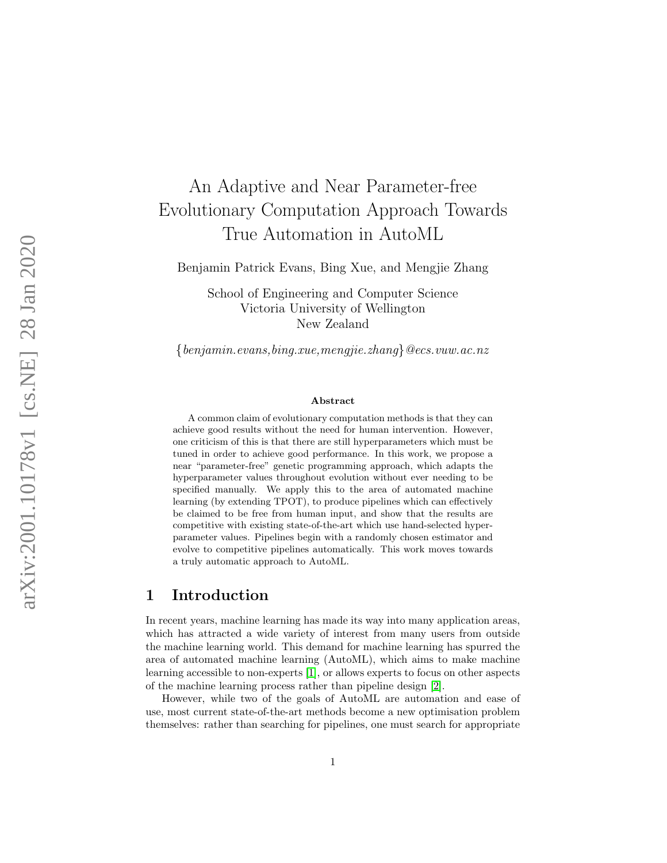# An Adaptive and Near Parameter-free Evolutionary Computation Approach Towards True Automation in AutoML

Benjamin Patrick Evans, Bing Xue, and Mengjie Zhang

School of Engineering and Computer Science Victoria University of Wellington New Zealand

{benjamin.evans,bing.xue,mengjie.zhang }@ecs.vuw.ac.nz

#### Abstract

A common claim of evolutionary computation methods is that they can achieve good results without the need for human intervention. However, one criticism of this is that there are still hyperparameters which must be tuned in order to achieve good performance. In this work, we propose a near "parameter-free" genetic programming approach, which adapts the hyperparameter values throughout evolution without ever needing to be specified manually. We apply this to the area of automated machine learning (by extending TPOT), to produce pipelines which can effectively be claimed to be free from human input, and show that the results are competitive with existing state-of-the-art which use hand-selected hyperparameter values. Pipelines begin with a randomly chosen estimator and evolve to competitive pipelines automatically. This work moves towards a truly automatic approach to AutoML.

# 1 Introduction

In recent years, machine learning has made its way into many application areas, which has attracted a wide variety of interest from many users from outside the machine learning world. This demand for machine learning has spurred the area of automated machine learning (AutoML), which aims to make machine learning accessible to non-experts [\[1\]](#page-14-0), or allows experts to focus on other aspects of the machine learning process rather than pipeline design [\[2\]](#page-14-1).

However, while two of the goals of AutoML are automation and ease of use, most current state-of-the-art methods become a new optimisation problem themselves: rather than searching for pipelines, one must search for appropriate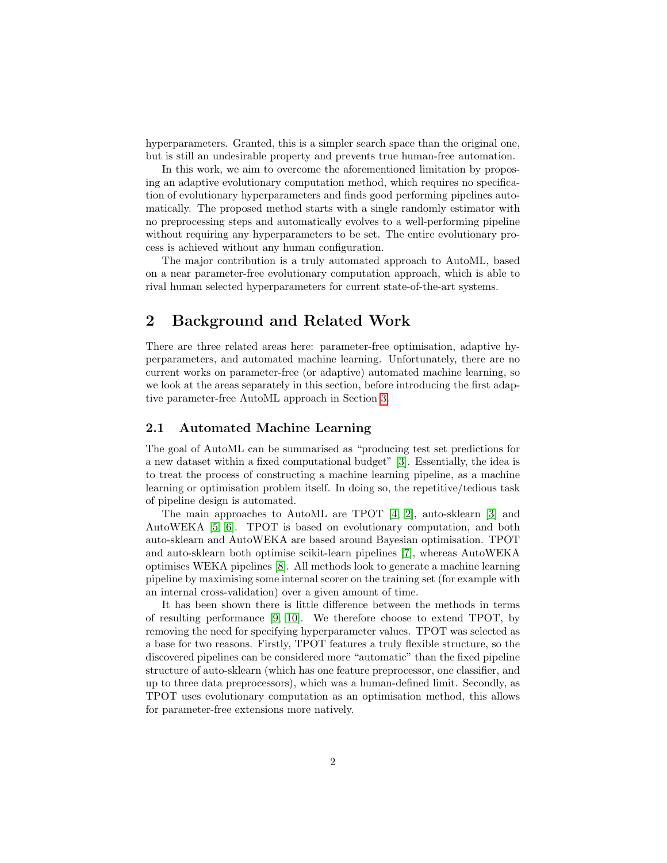hyperparameters. Granted, this is a simpler search space than the original one, but is still an undesirable property and prevents true human-free automation.

In this work, we aim to overcome the aforementioned limitation by proposing an adaptive evolutionary computation method, which requires no specification of evolutionary hyperparameters and finds good performing pipelines automatically. The proposed method starts with a single randomly estimator with no preprocessing steps and automatically evolves to a well-performing pipeline without requiring any hyperparameters to be set. The entire evolutionary process is achieved without any human configuration.

The major contribution is a truly automated approach to AutoML, based on a near parameter-free evolutionary computation approach, which is able to rival human selected hyperparameters for current state-of-the-art systems.

# <span id="page-1-0"></span>2 Background and Related Work

There are three related areas here: parameter-free optimisation, adaptive hyperparameters, and automated machine learning. Unfortunately, there are no current works on parameter-free (or adaptive) automated machine learning, so we look at the areas separately in this section, before introducing the first adaptive parameter-free AutoML approach in Section [3.](#page-3-0)

### 2.1 Automated Machine Learning

The goal of AutoML can be summarised as "producing test set predictions for a new dataset within a fixed computational budget" [\[3\]](#page-14-2). Essentially, the idea is to treat the process of constructing a machine learning pipeline, as a machine learning or optimisation problem itself. In doing so, the repetitive/tedious task of pipeline design is automated.

The main approaches to AutoML are TPOT [\[4,](#page-14-3) [2\]](#page-14-1), auto-sklearn [\[3\]](#page-14-2) and AutoWEKA [\[5,](#page-15-0) [6\]](#page-15-1). TPOT is based on evolutionary computation, and both auto-sklearn and AutoWEKA are based around Bayesian optimisation. TPOT and auto-sklearn both optimise scikit-learn pipelines [\[7\]](#page-15-2), whereas AutoWEKA optimises WEKA pipelines [\[8\]](#page-15-3). All methods look to generate a machine learning pipeline by maximising some internal scorer on the training set (for example with an internal cross-validation) over a given amount of time.

It has been shown there is little difference between the methods in terms of resulting performance [\[9,](#page-15-4) [10\]](#page-15-5). We therefore choose to extend TPOT, by removing the need for specifying hyperparameter values. TPOT was selected as a base for two reasons. Firstly, TPOT features a truly flexible structure, so the discovered pipelines can be considered more "automatic" than the fixed pipeline structure of auto-sklearn (which has one feature preprocessor, one classifier, and up to three data preprocessors), which was a human-defined limit. Secondly, as TPOT uses evolutionary computation as an optimisation method, this allows for parameter-free extensions more natively.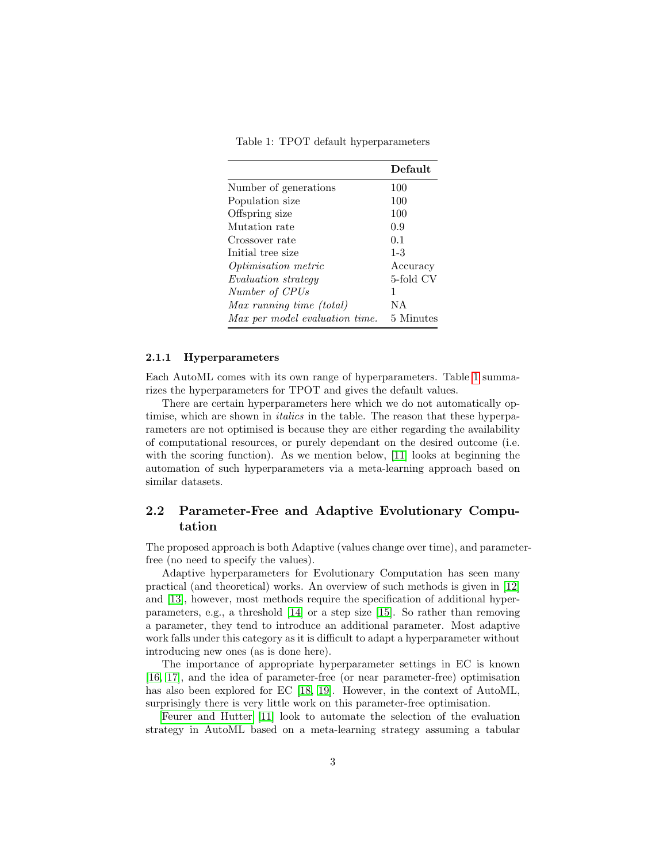Table 1: TPOT default hyperparameters

<span id="page-2-0"></span>

|                                | Default   |
|--------------------------------|-----------|
| Number of generations          | 100       |
| Population size                | 100       |
| Offspring size                 | 100       |
| Mutation rate                  | 0.9       |
| Crossover rate                 | 0.1       |
| Initial tree size              | $1 - 3$   |
| <i>Optimisation metric</i>     | Accuracy  |
| <i>Evaluation strategy</i>     | 5-fold CV |
| Number of CPUs                 | 1         |
| Max running time (total)       | ΝA        |
| Max per model evaluation time. | 5 Minutes |

#### 2.1.1 Hyperparameters

Each AutoML comes with its own range of hyperparameters. Table [1](#page-2-0) summarizes the hyperparameters for TPOT and gives the default values.

There are certain hyperparameters here which we do not automatically optimise, which are shown in *italics* in the table. The reason that these hyperparameters are not optimised is because they are either regarding the availability of computational resources, or purely dependant on the desired outcome (i.e. with the scoring function). As we mention below, [\[11\]](#page-15-6) looks at beginning the automation of such hyperparameters via a meta-learning approach based on similar datasets.

### 2.2 Parameter-Free and Adaptive Evolutionary Computation

The proposed approach is both Adaptive (values change over time), and parameterfree (no need to specify the values).

Adaptive hyperparameters for Evolutionary Computation has seen many practical (and theoretical) works. An overview of such methods is given in [\[12\]](#page-15-7) and [\[13\]](#page-15-8), however, most methods require the specification of additional hyperparameters, e.g., a threshold [\[14\]](#page-15-9) or a step size [\[15\]](#page-15-10). So rather than removing a parameter, they tend to introduce an additional parameter. Most adaptive work falls under this category as it is difficult to adapt a hyperparameter without introducing new ones (as is done here).

The importance of appropriate hyperparameter settings in EC is known [\[16,](#page-16-0) [17\]](#page-16-1), and the idea of parameter-free (or near parameter-free) optimisation has also been explored for EC [\[18,](#page-16-2) [19\]](#page-16-3). However, in the context of AutoML, surprisingly there is very little work on this parameter-free optimisation.

[Feurer and Hutter](#page-15-6) [\[11\]](#page-15-6) look to automate the selection of the evaluation strategy in AutoML based on a meta-learning strategy assuming a tabular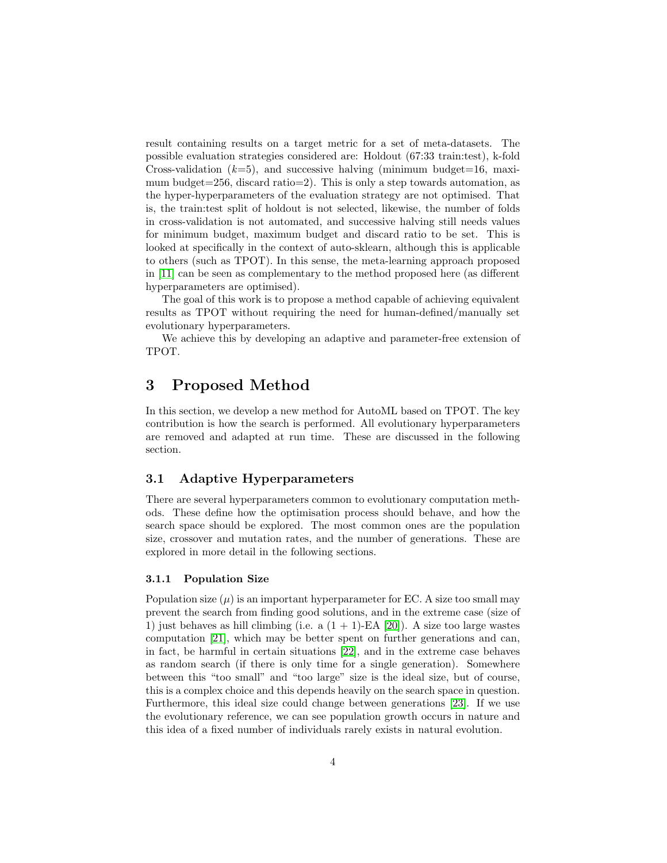result containing results on a target metric for a set of meta-datasets. The possible evaluation strategies considered are: Holdout (67:33 train:test), k-fold Cross-validation  $(k=5)$ , and successive halving (minimum budget=16, maximum budget=256, discard ratio=2). This is only a step towards automation, as the hyper-hyperparameters of the evaluation strategy are not optimised. That is, the train:test split of holdout is not selected, likewise, the number of folds in cross-validation is not automated, and successive halving still needs values for minimum budget, maximum budget and discard ratio to be set. This is looked at specifically in the context of auto-sklearn, although this is applicable to others (such as TPOT). In this sense, the meta-learning approach proposed in [\[11\]](#page-15-6) can be seen as complementary to the method proposed here (as different hyperparameters are optimised).

The goal of this work is to propose a method capable of achieving equivalent results as TPOT without requiring the need for human-defined/manually set evolutionary hyperparameters.

We achieve this by developing an adaptive and parameter-free extension of TPOT.

# <span id="page-3-0"></span>3 Proposed Method

In this section, we develop a new method for AutoML based on TPOT. The key contribution is how the search is performed. All evolutionary hyperparameters are removed and adapted at run time. These are discussed in the following section.

### 3.1 Adaptive Hyperparameters

There are several hyperparameters common to evolutionary computation methods. These define how the optimisation process should behave, and how the search space should be explored. The most common ones are the population size, crossover and mutation rates, and the number of generations. These are explored in more detail in the following sections.

### 3.1.1 Population Size

Population size  $(\mu)$  is an important hyperparameter for EC. A size too small may prevent the search from finding good solutions, and in the extreme case (size of 1) just behaves as hill climbing (i.e. a  $(1 + 1)$ -EA [\[20\]](#page-16-4)). A size too large wastes computation [\[21\]](#page-16-5), which may be better spent on further generations and can, in fact, be harmful in certain situations [\[22\]](#page-16-6), and in the extreme case behaves as random search (if there is only time for a single generation). Somewhere between this "too small" and "too large" size is the ideal size, but of course, this is a complex choice and this depends heavily on the search space in question. Furthermore, this ideal size could change between generations [\[23\]](#page-16-7). If we use the evolutionary reference, we can see population growth occurs in nature and this idea of a fixed number of individuals rarely exists in natural evolution.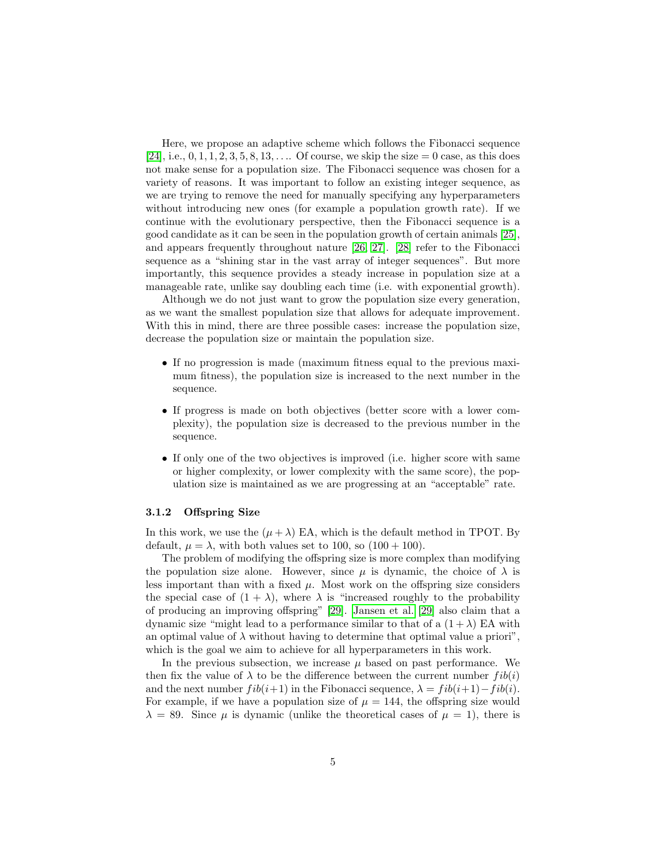Here, we propose an adaptive scheme which follows the Fibonacci sequence [\[24\]](#page-16-8), i.e.,  $0, 1, 1, 2, 3, 5, 8, 13, \ldots$  Of course, we skip the size  $= 0$  case, as this does not make sense for a population size. The Fibonacci sequence was chosen for a variety of reasons. It was important to follow an existing integer sequence, as we are trying to remove the need for manually specifying any hyperparameters without introducing new ones (for example a population growth rate). If we continue with the evolutionary perspective, then the Fibonacci sequence is a good candidate as it can be seen in the population growth of certain animals [\[25\]](#page-16-9), and appears frequently throughout nature [\[26,](#page-16-10) [27\]](#page-16-11). [\[28\]](#page-16-12) refer to the Fibonacci sequence as a "shining star in the vast array of integer sequences". But more importantly, this sequence provides a steady increase in population size at a manageable rate, unlike say doubling each time (i.e. with exponential growth).

Although we do not just want to grow the population size every generation, as we want the smallest population size that allows for adequate improvement. With this in mind, there are three possible cases: increase the population size, decrease the population size or maintain the population size.

- If no progression is made (maximum fitness equal to the previous maximum fitness), the population size is increased to the next number in the sequence.
- If progress is made on both objectives (better score with a lower complexity), the population size is decreased to the previous number in the sequence.
- If only one of the two objectives is improved (i.e. higher score with same or higher complexity, or lower complexity with the same score), the population size is maintained as we are progressing at an "acceptable" rate.

#### 3.1.2 Offspring Size

In this work, we use the  $(\mu + \lambda)$  EA, which is the default method in TPOT. By default,  $\mu = \lambda$ , with both values set to 100, so  $(100 + 100)$ .

The problem of modifying the offspring size is more complex than modifying the population size alone. However, since  $\mu$  is dynamic, the choice of  $\lambda$  is less important than with a fixed  $\mu$ . Most work on the offspring size considers the special case of  $(1 + \lambda)$ , where  $\lambda$  is "increased roughly to the probability of producing an improving offspring" [\[29\]](#page-16-13). [Jansen et al.](#page-16-13) [\[29\]](#page-16-13) also claim that a dynamic size "might lead to a performance similar to that of a  $(1 + \lambda)$  EA with an optimal value of  $\lambda$  without having to determine that optimal value a priori". which is the goal we aim to achieve for all hyperparameters in this work.

In the previous subsection, we increase  $\mu$  based on past performance. We then fix the value of  $\lambda$  to be the difference between the current number  $fib(i)$ and the next number  $fib(i+1)$  in the Fibonacci sequence,  $\lambda = fib(i+1)-fib(i)$ . For example, if we have a population size of  $\mu = 144$ , the offspring size would  $\lambda = 89$ . Since  $\mu$  is dynamic (unlike the theoretical cases of  $\mu = 1$ ), there is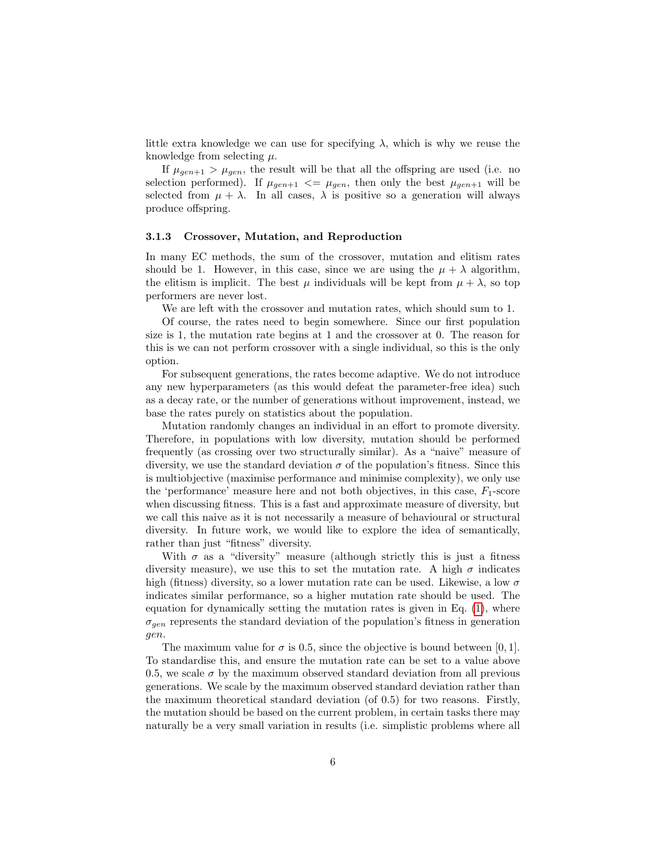little extra knowledge we can use for specifying  $\lambda$ , which is why we reuse the knowledge from selecting  $\mu$ .

If  $\mu_{gen+1} > \mu_{gen}$ , the result will be that all the offspring are used (i.e. no selection performed). If  $\mu_{gen+1} \leq \mu_{gen}$ , then only the best  $\mu_{gen+1}$  will be selected from  $\mu + \lambda$ . In all cases,  $\lambda$  is positive so a generation will always produce offspring.

#### 3.1.3 Crossover, Mutation, and Reproduction

In many EC methods, the sum of the crossover, mutation and elitism rates should be 1. However, in this case, since we are using the  $\mu + \lambda$  algorithm, the elitism is implicit. The best  $\mu$  individuals will be kept from  $\mu + \lambda$ , so top performers are never lost.

We are left with the crossover and mutation rates, which should sum to 1.

Of course, the rates need to begin somewhere. Since our first population size is 1, the mutation rate begins at 1 and the crossover at 0. The reason for this is we can not perform crossover with a single individual, so this is the only option.

For subsequent generations, the rates become adaptive. We do not introduce any new hyperparameters (as this would defeat the parameter-free idea) such as a decay rate, or the number of generations without improvement, instead, we base the rates purely on statistics about the population.

Mutation randomly changes an individual in an effort to promote diversity. Therefore, in populations with low diversity, mutation should be performed frequently (as crossing over two structurally similar). As a "naive" measure of diversity, we use the standard deviation  $\sigma$  of the population's fitness. Since this is multiobjective (maximise performance and minimise complexity), we only use the 'performance' measure here and not both objectives, in this case,  $F_1$ -score when discussing fitness. This is a fast and approximate measure of diversity, but we call this naive as it is not necessarily a measure of behavioural or structural diversity. In future work, we would like to explore the idea of semantically, rather than just "fitness" diversity.

With  $\sigma$  as a "diversity" measure (although strictly this is just a fitness diversity measure), we use this to set the mutation rate. A high  $\sigma$  indicates high (fitness) diversity, so a lower mutation rate can be used. Likewise, a low  $\sigma$ indicates similar performance, so a higher mutation rate should be used. The equation for dynamically setting the mutation rates is given in Eq. [\(1\)](#page-6-0), where  $\sigma_{gen}$  represents the standard deviation of the population's fitness in generation gen.

The maximum value for  $\sigma$  is 0.5, since the objective is bound between [0, 1]. To standardise this, and ensure the mutation rate can be set to a value above 0.5, we scale  $\sigma$  by the maximum observed standard deviation from all previous generations. We scale by the maximum observed standard deviation rather than the maximum theoretical standard deviation (of 0.5) for two reasons. Firstly, the mutation should be based on the current problem, in certain tasks there may naturally be a very small variation in results (i.e. simplistic problems where all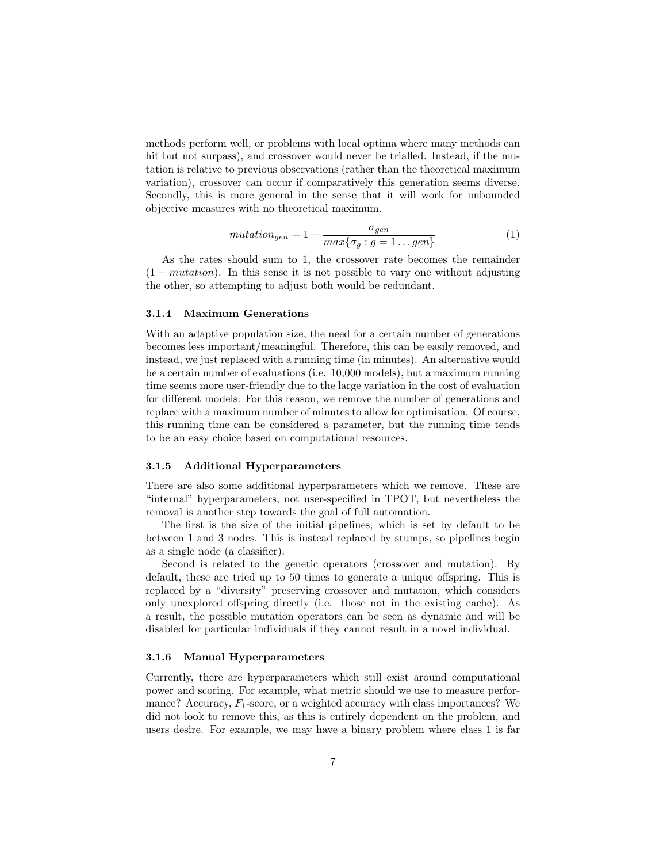methods perform well, or problems with local optima where many methods can hit but not surpass), and crossover would never be trialled. Instead, if the mutation is relative to previous observations (rather than the theoretical maximum variation), crossover can occur if comparatively this generation seems diverse. Secondly, this is more general in the sense that it will work for unbounded objective measures with no theoretical maximum.

<span id="page-6-0"></span>
$$
mutation_{gen} = 1 - \frac{\sigma_{gen}}{max\{\sigma_g : g = 1 \dots gen\}} \tag{1}
$$

As the rates should sum to 1, the crossover rate becomes the remainder  $(1-mutation)$ . In this sense it is not possible to vary one without adjusting the other, so attempting to adjust both would be redundant.

### 3.1.4 Maximum Generations

With an adaptive population size, the need for a certain number of generations becomes less important/meaningful. Therefore, this can be easily removed, and instead, we just replaced with a running time (in minutes). An alternative would be a certain number of evaluations (i.e. 10,000 models), but a maximum running time seems more user-friendly due to the large variation in the cost of evaluation for different models. For this reason, we remove the number of generations and replace with a maximum number of minutes to allow for optimisation. Of course, this running time can be considered a parameter, but the running time tends to be an easy choice based on computational resources.

#### 3.1.5 Additional Hyperparameters

There are also some additional hyperparameters which we remove. These are "internal" hyperparameters, not user-specified in TPOT, but nevertheless the removal is another step towards the goal of full automation.

The first is the size of the initial pipelines, which is set by default to be between 1 and 3 nodes. This is instead replaced by stumps, so pipelines begin as a single node (a classifier).

Second is related to the genetic operators (crossover and mutation). By default, these are tried up to 50 times to generate a unique offspring. This is replaced by a "diversity" preserving crossover and mutation, which considers only unexplored offspring directly (i.e. those not in the existing cache). As a result, the possible mutation operators can be seen as dynamic and will be disabled for particular individuals if they cannot result in a novel individual.

### 3.1.6 Manual Hyperparameters

Currently, there are hyperparameters which still exist around computational power and scoring. For example, what metric should we use to measure performance? Accuracy,  $F_1$ -score, or a weighted accuracy with class importances? We did not look to remove this, as this is entirely dependent on the problem, and users desire. For example, we may have a binary problem where class 1 is far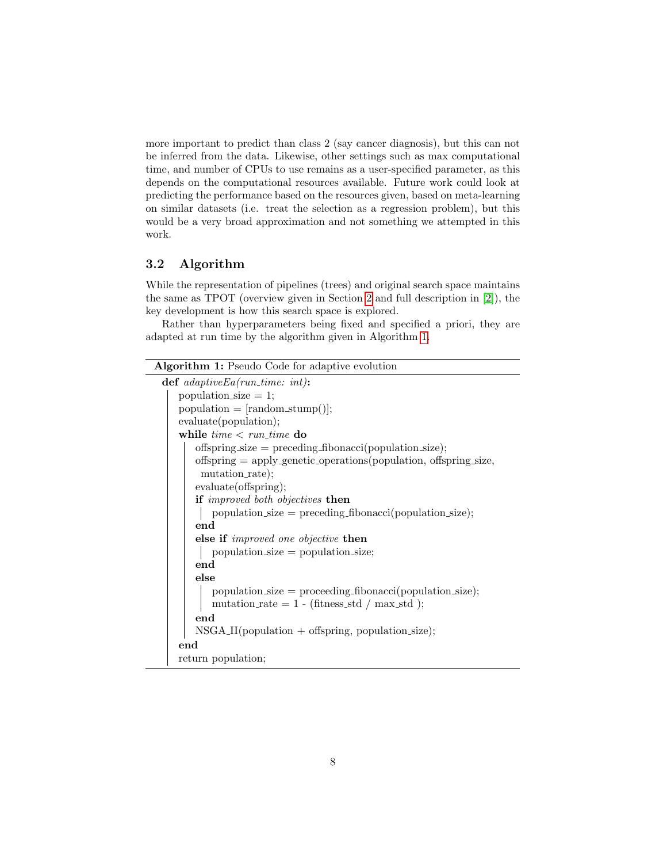more important to predict than class 2 (say cancer diagnosis), but this can not be inferred from the data. Likewise, other settings such as max computational time, and number of CPUs to use remains as a user-specified parameter, as this depends on the computational resources available. Future work could look at predicting the performance based on the resources given, based on meta-learning on similar datasets (i.e. treat the selection as a regression problem), but this would be a very broad approximation and not something we attempted in this work.

# 3.2 Algorithm

While the representation of pipelines (trees) and original search space maintains the same as TPOT (overview given in Section [2](#page-1-0) and full description in [\[2\]](#page-14-1)), the key development is how this search space is explored.

Rather than hyperparameters being fixed and specified a priori, they are adapted at run time by the algorithm given in Algorithm [1.](#page-7-0)

<span id="page-7-0"></span>

| <b>Algorithm 1:</b> Pseudo Code for adaptive evolution              |  |  |  |  |  |  |
|---------------------------------------------------------------------|--|--|--|--|--|--|
| $\det$ adaptive Ea(run_time: int):                                  |  |  |  |  |  |  |
| population_size $= 1$ ;                                             |  |  |  |  |  |  |
| $population = [random_stump()];$                                    |  |  |  |  |  |  |
| evaluate(population);                                               |  |  |  |  |  |  |
| while $time < run_time$ do                                          |  |  |  |  |  |  |
| offspring_size = preceding_fibonacci(population_size);              |  |  |  |  |  |  |
| offspring $=$ apply genetic operations (population, offspring size, |  |  |  |  |  |  |
| mutation_rate);                                                     |  |  |  |  |  |  |
| evaluate(offspring);                                                |  |  |  |  |  |  |
| if <i>improved</i> both objectives then                             |  |  |  |  |  |  |
| $population\_size = preceding\_fibonacci(population\_size);$        |  |  |  |  |  |  |
| end                                                                 |  |  |  |  |  |  |
| else if <i>improved</i> one objective then                          |  |  |  |  |  |  |
| $population_size = population_size;$                                |  |  |  |  |  |  |
| end                                                                 |  |  |  |  |  |  |
| else                                                                |  |  |  |  |  |  |
| $population\_size = proceeding\_fibonacci(population\_size);$       |  |  |  |  |  |  |
| mutation_rate = $1 - (fitness\_std / max\_std);$                    |  |  |  |  |  |  |
| end                                                                 |  |  |  |  |  |  |
| $NSGA_{II}(population + offspring, population\_size);$              |  |  |  |  |  |  |
| end                                                                 |  |  |  |  |  |  |
| return population;                                                  |  |  |  |  |  |  |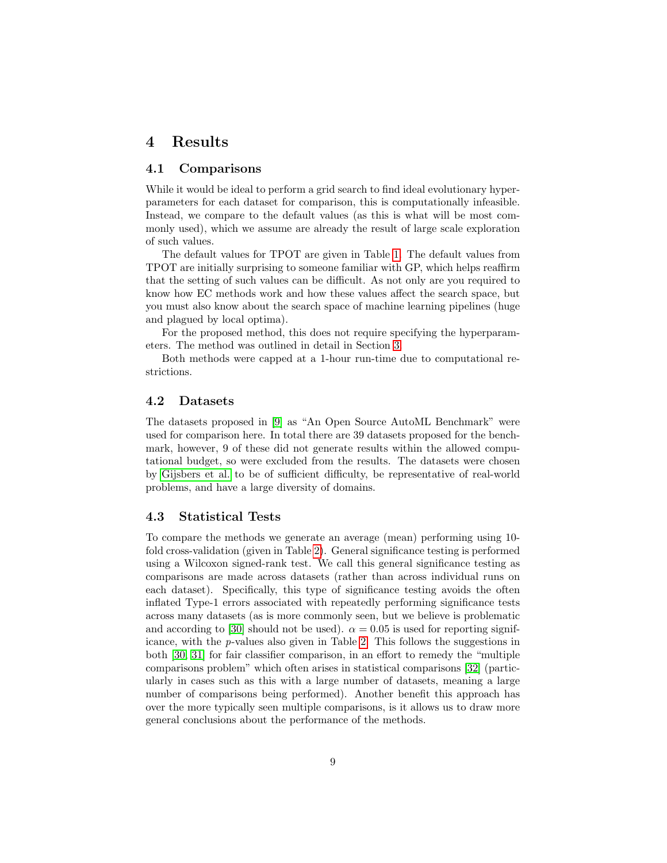### <span id="page-8-0"></span>4 Results

### 4.1 Comparisons

While it would be ideal to perform a grid search to find ideal evolutionary hyperparameters for each dataset for comparison, this is computationally infeasible. Instead, we compare to the default values (as this is what will be most commonly used), which we assume are already the result of large scale exploration of such values.

The default values for TPOT are given in Table [1.](#page-2-0) The default values from TPOT are initially surprising to someone familiar with GP, which helps reaffirm that the setting of such values can be difficult. As not only are you required to know how EC methods work and how these values affect the search space, but you must also know about the search space of machine learning pipelines (huge and plagued by local optima).

For the proposed method, this does not require specifying the hyperparameters. The method was outlined in detail in Section [3.](#page-3-0)

Both methods were capped at a 1-hour run-time due to computational restrictions.

### 4.2 Datasets

The datasets proposed in [\[9\]](#page-15-4) as "An Open Source AutoML Benchmark" were used for comparison here. In total there are 39 datasets proposed for the benchmark, however, 9 of these did not generate results within the allowed computational budget, so were excluded from the results. The datasets were chosen by [Gijsbers et al.](#page-15-4) to be of sufficient difficulty, be representative of real-world problems, and have a large diversity of domains.

### 4.3 Statistical Tests

To compare the methods we generate an average (mean) performing using 10 fold cross-validation (given in Table [2\)](#page-10-0). General significance testing is performed using a Wilcoxon signed-rank test. We call this general significance testing as comparisons are made across datasets (rather than across individual runs on each dataset). Specifically, this type of significance testing avoids the often inflated Type-1 errors associated with repeatedly performing significance tests across many datasets (as is more commonly seen, but we believe is problematic and according to [\[30\]](#page-17-0) should not be used).  $\alpha = 0.05$  is used for reporting significance, with the p-values also given in Table [2.](#page-10-0) This follows the suggestions in both [\[30,](#page-17-0) [31\]](#page-17-1) for fair classifier comparison, in an effort to remedy the "multiple comparisons problem" which often arises in statistical comparisons [\[32\]](#page-17-2) (particularly in cases such as this with a large number of datasets, meaning a large number of comparisons being performed). Another benefit this approach has over the more typically seen multiple comparisons, is it allows us to draw more general conclusions about the performance of the methods.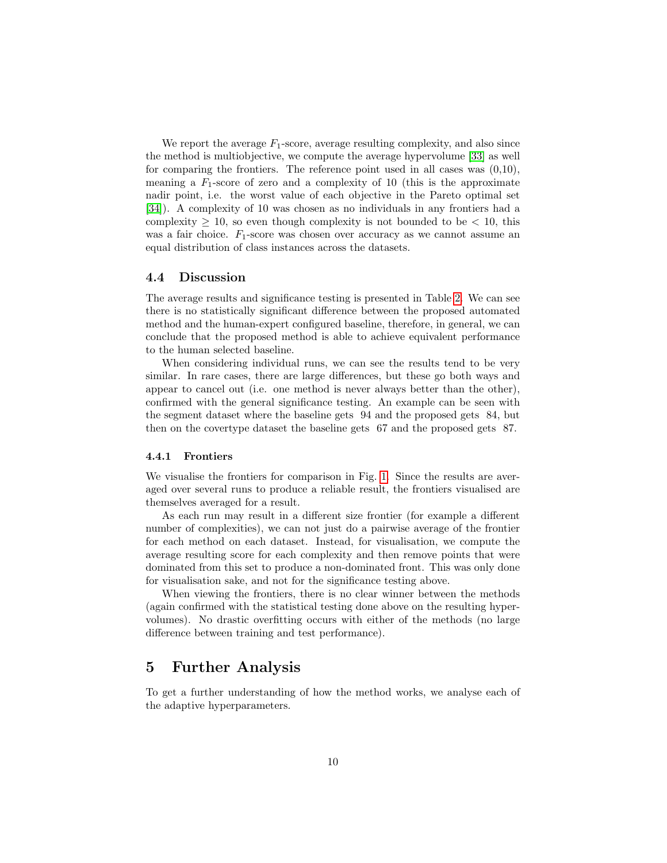We report the average  $F_1$ -score, average resulting complexity, and also since the method is multiobjective, we compute the average hypervolume [\[33\]](#page-17-3) as well for comparing the frontiers. The reference point used in all cases was (0,10), meaning a  $F_1$ -score of zero and a complexity of 10 (this is the approximate nadir point, i.e. the worst value of each objective in the Pareto optimal set [\[34\]](#page-17-4)). A complexity of 10 was chosen as no individuals in any frontiers had a complexity  $\geq 10$ , so even though complexity is not bounded to be  $\lt 10$ , this was a fair choice.  $F_1$ -score was chosen over accuracy as we cannot assume an equal distribution of class instances across the datasets.

### 4.4 Discussion

The average results and significance testing is presented in Table [2.](#page-10-0) We can see there is no statistically significant difference between the proposed automated method and the human-expert configured baseline, therefore, in general, we can conclude that the proposed method is able to achieve equivalent performance to the human selected baseline.

When considering individual runs, we can see the results tend to be very similar. In rare cases, there are large differences, but these go both ways and appear to cancel out (i.e. one method is never always better than the other), confirmed with the general significance testing. An example can be seen with the segment dataset where the baseline gets 94 and the proposed gets 84, but then on the covertype dataset the baseline gets 67 and the proposed gets 87.

#### 4.4.1 Frontiers

We visualise the frontiers for comparison in Fig. [1.](#page-11-0) Since the results are averaged over several runs to produce a reliable result, the frontiers visualised are themselves averaged for a result.

As each run may result in a different size frontier (for example a different number of complexities), we can not just do a pairwise average of the frontier for each method on each dataset. Instead, for visualisation, we compute the average resulting score for each complexity and then remove points that were dominated from this set to produce a non-dominated front. This was only done for visualisation sake, and not for the significance testing above.

When viewing the frontiers, there is no clear winner between the methods (again confirmed with the statistical testing done above on the resulting hypervolumes). No drastic overfitting occurs with either of the methods (no large difference between training and test performance).

# 5 Further Analysis

To get a further understanding of how the method works, we analyse each of the adaptive hyperparameters.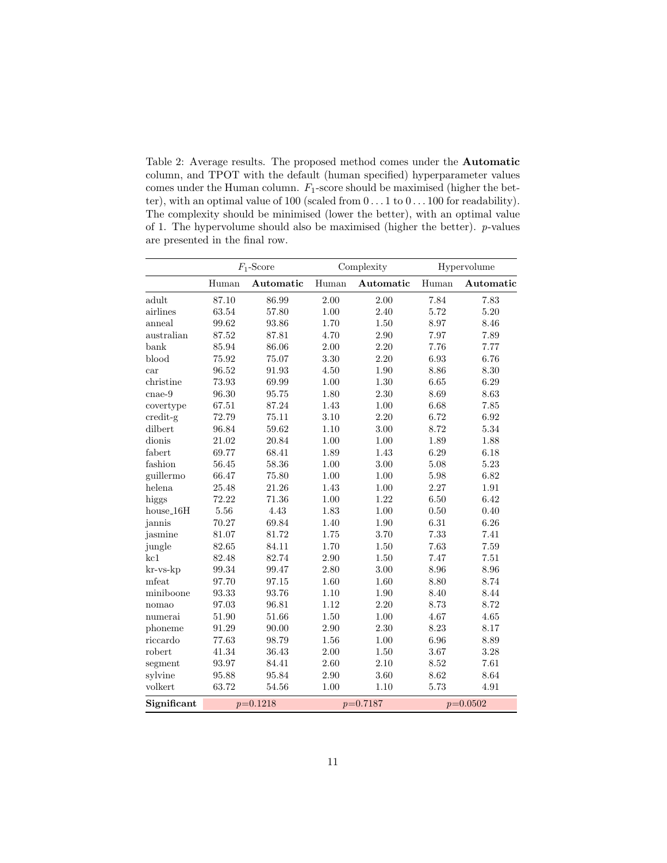<span id="page-10-0"></span>Table 2: Average results. The proposed method comes under the Automatic column, and TPOT with the default (human specified) hyperparameter values comes under the Human column.  $F_1$ -score should be maximised (higher the better), with an optimal value of 100 (scaled from  $0 \dots 1$  to  $0 \dots 100$  for readability). The complexity should be minimised (lower the better), with an optimal value of 1. The hypervolume should also be maximised (higher the better). p-values are presented in the final row.

|                    | $F_1$ -Score |           | Complexity |           | Hypervolume |           |
|--------------------|--------------|-----------|------------|-----------|-------------|-----------|
|                    | Human        | Automatic | Human      | Automatic | Human       | Automatic |
| adult              | 87.10        | 86.99     | 2.00       | 2.00      | 7.84        | 7.83      |
| airlines           | 63.54        | 57.80     | 1.00       | 2.40      | 5.72        | 5.20      |
| anneal             | 99.62        | 93.86     | 1.70       | 1.50      | 8.97        | 8.46      |
| australian         | 87.52        | 87.81     | 4.70       | 2.90      | 7.97        | 7.89      |
| bank               | 85.94        | 86.06     | 2.00       | 2.20      | 7.76        | 7.77      |
| blood              | 75.92        | 75.07     | 3.30       | 2.20      | 6.93        | 6.76      |
| car                | 96.52        | 91.93     | 4.50       | 1.90      | 8.86        | 8.30      |
| christine          | 73.93        | 69.99     | 1.00       | $1.30\,$  | 6.65        | 6.29      |
| $_{\rm{cnae-9}}$   | 96.30        | 95.75     | 1.80       | 2.30      | 8.69        | 8.63      |
| covertype          | 67.51        | 87.24     | 1.43       | $1.00\,$  | 6.68        | 7.85      |
| credit-g           | 72.79        | 75.11     | 3.10       | 2.20      | 6.72        | 6.92      |
| dilbert            | 96.84        | 59.62     | 1.10       | 3.00      | 8.72        | 5.34      |
| dionis             | 21.02        | 20.84     | 1.00       | $1.00\,$  | 1.89        | 1.88      |
| fabert             | 69.77        | 68.41     | 1.89       | 1.43      | 6.29        | 6.18      |
| fashion            | 56.45        | 58.36     | 1.00       | 3.00      | 5.08        | 5.23      |
| guillermo          | 66.47        | 75.80     | 1.00       | 1.00      | 5.98        | 6.82      |
| helena             | 25.48        | 21.26     | 1.43       | 1.00      | 2.27        | 1.91      |
| higgs              | 72.22        | 71.36     | 1.00       | 1.22      | 6.50        | 6.42      |
| $house_16H$        | 5.56         | 4.43      | 1.83       | 1.00      | 0.50        | 0.40      |
| jannis             | 70.27        | 69.84     | 1.40       | 1.90      | 6.31        | 6.26      |
| jasmine            | 81.07        | 81.72     | 1.75       | 3.70      | 7.33        | 7.41      |
| jungle             | 82.65        | 84.11     | 1.70       | 1.50      | 7.63        | 7.59      |
| kcl                | 82.48        | 82.74     | 2.90       | 1.50      | 7.47        | 7.51      |
| $kr$ -v $s$ - $kp$ | 99.34        | 99.47     | 2.80       | 3.00      | 8.96        | 8.96      |
| mfeat              | 97.70        | 97.15     | 1.60       | 1.60      | 8.80        | 8.74      |
| miniboone          | 93.33        | 93.76     | 1.10       | 1.90      | 8.40        | 8.44      |
| nomao              | 97.03        | 96.81     | 1.12       | 2.20      | 8.73        | 8.72      |
| numerai            | 51.90        | 51.66     | 1.50       | 1.00      | 4.67        | 4.65      |
| phoneme            | 91.29        | 90.00     | 2.90       | $2.30\,$  | 8.23        | 8.17      |
| riccardo           | 77.63        | 98.79     | 1.56       | 1.00      | 6.96        | 8.89      |
| robert             | 41.34        | 36.43     | 2.00       | $1.50\,$  | 3.67        | 3.28      |
| segment            | 93.97        | 84.41     | 2.60       | 2.10      | 8.52        | 7.61      |
| sylvine            | 95.88        | 95.84     | 2.90       | 3.60      | 8.62        | 8.64      |
| volkert            | 63.72        | 54.56     | 1.00       | 1.10      | 5.73        | 4.91      |
| Significant        | $p=0.1218$   |           | $p=0.7187$ |           | $p=0.0502$  |           |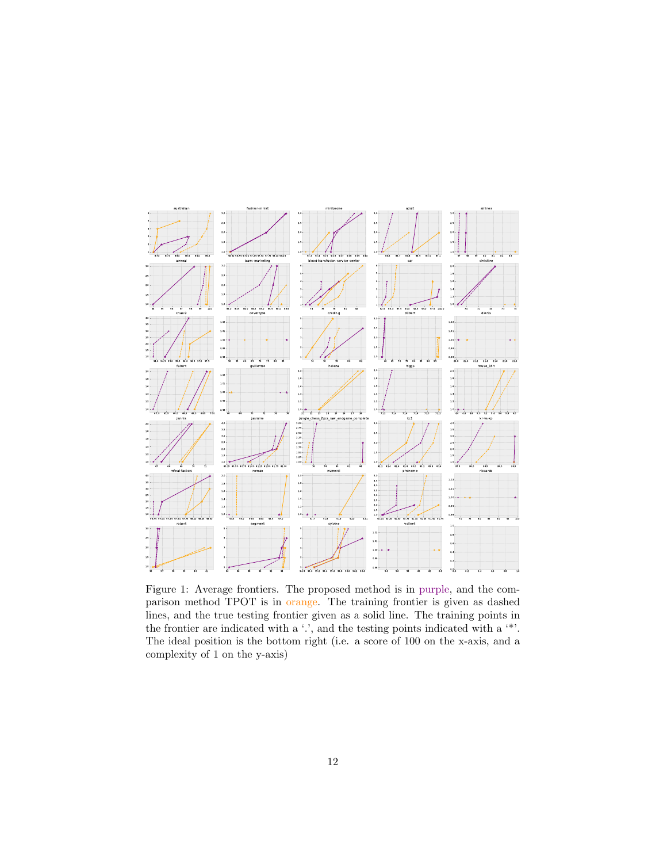<span id="page-11-0"></span>

Figure 1: Average frontiers. The proposed method is in purple, and the comparison method TPOT is in orange. The training frontier is given as dashed lines, and the true testing frontier given as a solid line. The training points in the frontier are indicated with a '.', and the testing points indicated with a '\*'. The ideal position is the bottom right (i.e. a score of 100 on the x-axis, and a complexity of 1 on the y-axis)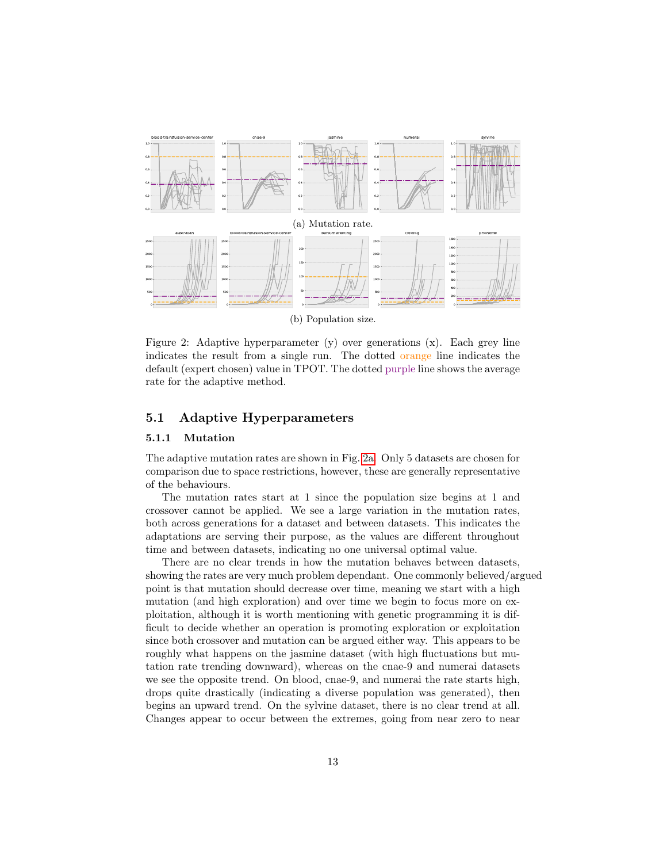<span id="page-12-0"></span>

(b) Population size.

Figure 2: Adaptive hyperparameter (y) over generations (x). Each grey line indicates the result from a single run. The dotted orange line indicates the default (expert chosen) value in TPOT. The dotted purple line shows the average rate for the adaptive method.

### 5.1 Adaptive Hyperparameters

#### 5.1.1 Mutation

The adaptive mutation rates are shown in Fig. [2a.](#page-12-0) Only 5 datasets are chosen for comparison due to space restrictions, however, these are generally representative of the behaviours.

The mutation rates start at 1 since the population size begins at 1 and crossover cannot be applied. We see a large variation in the mutation rates, both across generations for a dataset and between datasets. This indicates the adaptations are serving their purpose, as the values are different throughout time and between datasets, indicating no one universal optimal value.

There are no clear trends in how the mutation behaves between datasets, showing the rates are very much problem dependant. One commonly believed/argued point is that mutation should decrease over time, meaning we start with a high mutation (and high exploration) and over time we begin to focus more on exploitation, although it is worth mentioning with genetic programming it is difficult to decide whether an operation is promoting exploration or exploitation since both crossover and mutation can be argued either way. This appears to be roughly what happens on the jasmine dataset (with high fluctuations but mutation rate trending downward), whereas on the cnae-9 and numerai datasets we see the opposite trend. On blood, cnae-9, and numerai the rate starts high, drops quite drastically (indicating a diverse population was generated), then begins an upward trend. On the sylvine dataset, there is no clear trend at all. Changes appear to occur between the extremes, going from near zero to near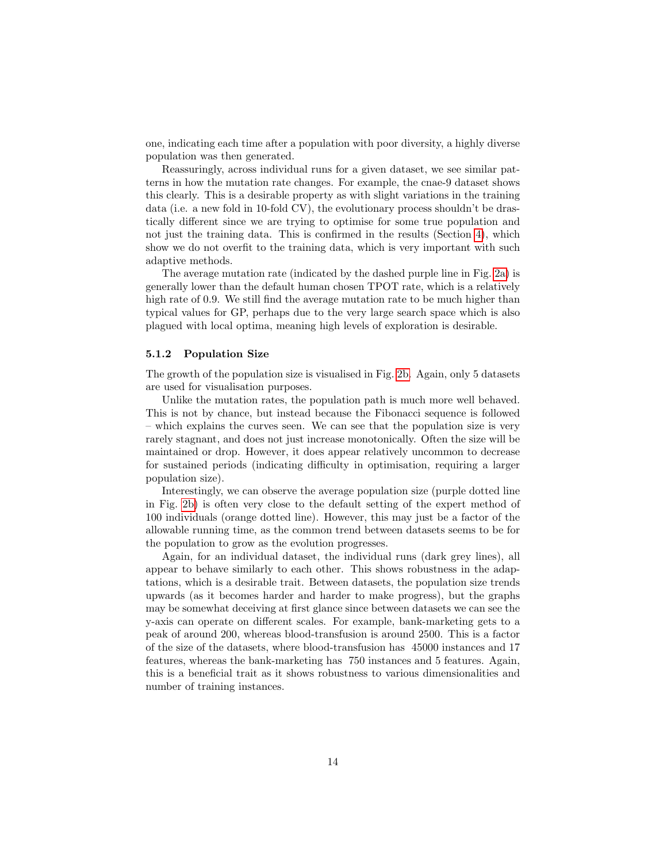one, indicating each time after a population with poor diversity, a highly diverse population was then generated.

Reassuringly, across individual runs for a given dataset, we see similar patterns in how the mutation rate changes. For example, the cnae-9 dataset shows this clearly. This is a desirable property as with slight variations in the training data (i.e. a new fold in 10-fold CV), the evolutionary process shouldn't be drastically different since we are trying to optimise for some true population and not just the training data. This is confirmed in the results (Section [4\)](#page-8-0), which show we do not overfit to the training data, which is very important with such adaptive methods.

The average mutation rate (indicated by the dashed purple line in Fig. [2a\)](#page-12-0) is generally lower than the default human chosen TPOT rate, which is a relatively high rate of 0.9. We still find the average mutation rate to be much higher than typical values for GP, perhaps due to the very large search space which is also plagued with local optima, meaning high levels of exploration is desirable.

#### 5.1.2 Population Size

The growth of the population size is visualised in Fig. [2b.](#page-12-0) Again, only 5 datasets are used for visualisation purposes.

Unlike the mutation rates, the population path is much more well behaved. This is not by chance, but instead because the Fibonacci sequence is followed – which explains the curves seen. We can see that the population size is very rarely stagnant, and does not just increase monotonically. Often the size will be maintained or drop. However, it does appear relatively uncommon to decrease for sustained periods (indicating difficulty in optimisation, requiring a larger population size).

Interestingly, we can observe the average population size (purple dotted line in Fig. [2b\)](#page-12-0) is often very close to the default setting of the expert method of 100 individuals (orange dotted line). However, this may just be a factor of the allowable running time, as the common trend between datasets seems to be for the population to grow as the evolution progresses.

Again, for an individual dataset, the individual runs (dark grey lines), all appear to behave similarly to each other. This shows robustness in the adaptations, which is a desirable trait. Between datasets, the population size trends upwards (as it becomes harder and harder to make progress), but the graphs may be somewhat deceiving at first glance since between datasets we can see the y-axis can operate on different scales. For example, bank-marketing gets to a peak of around 200, whereas blood-transfusion is around 2500. This is a factor of the size of the datasets, where blood-transfusion has 45000 instances and 17 features, whereas the bank-marketing has 750 instances and 5 features. Again, this is a beneficial trait as it shows robustness to various dimensionalities and number of training instances.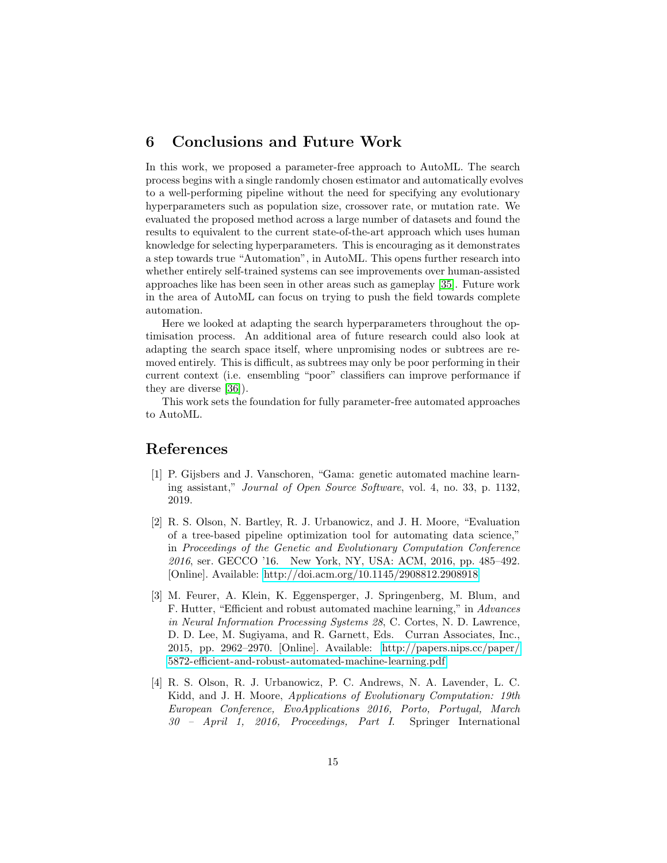# 6 Conclusions and Future Work

In this work, we proposed a parameter-free approach to AutoML. The search process begins with a single randomly chosen estimator and automatically evolves to a well-performing pipeline without the need for specifying any evolutionary hyperparameters such as population size, crossover rate, or mutation rate. We evaluated the proposed method across a large number of datasets and found the results to equivalent to the current state-of-the-art approach which uses human knowledge for selecting hyperparameters. This is encouraging as it demonstrates a step towards true "Automation", in AutoML. This opens further research into whether entirely self-trained systems can see improvements over human-assisted approaches like has been seen in other areas such as gameplay [\[35\]](#page-17-5). Future work in the area of AutoML can focus on trying to push the field towards complete automation.

Here we looked at adapting the search hyperparameters throughout the optimisation process. An additional area of future research could also look at adapting the search space itself, where unpromising nodes or subtrees are removed entirely. This is difficult, as subtrees may only be poor performing in their current context (i.e. ensembling "poor" classifiers can improve performance if they are diverse [\[36\]](#page-17-6)).

This work sets the foundation for fully parameter-free automated approaches to AutoML.

### References

- <span id="page-14-0"></span>[1] P. Gijsbers and J. Vanschoren, "Gama: genetic automated machine learning assistant," Journal of Open Source Software, vol. 4, no. 33, p. 1132, 2019.
- <span id="page-14-1"></span>[2] R. S. Olson, N. Bartley, R. J. Urbanowicz, and J. H. Moore, "Evaluation of a tree-based pipeline optimization tool for automating data science," in Proceedings of the Genetic and Evolutionary Computation Conference 2016, ser. GECCO '16. New York, NY, USA: ACM, 2016, pp. 485–492. [Online]. Available:<http://doi.acm.org/10.1145/2908812.2908918>
- <span id="page-14-2"></span>[3] M. Feurer, A. Klein, K. Eggensperger, J. Springenberg, M. Blum, and F. Hutter, "Efficient and robust automated machine learning," in Advances in Neural Information Processing Systems 28, C. Cortes, N. D. Lawrence, D. D. Lee, M. Sugiyama, and R. Garnett, Eds. Curran Associates, Inc., 2015, pp. 2962–2970. [Online]. Available: [http://papers.nips.cc/paper/](http://papers.nips.cc/paper/5872-efficient-and-robust-automated-machine-learning.pdf) [5872-efficient-and-robust-automated-machine-learning.pdf](http://papers.nips.cc/paper/5872-efficient-and-robust-automated-machine-learning.pdf)
- <span id="page-14-3"></span>[4] R. S. Olson, R. J. Urbanowicz, P. C. Andrews, N. A. Lavender, L. C. Kidd, and J. H. Moore, Applications of Evolutionary Computation: 19th European Conference, EvoApplications 2016, Porto, Portugal, March 30 – April 1, 2016, Proceedings, Part I. Springer International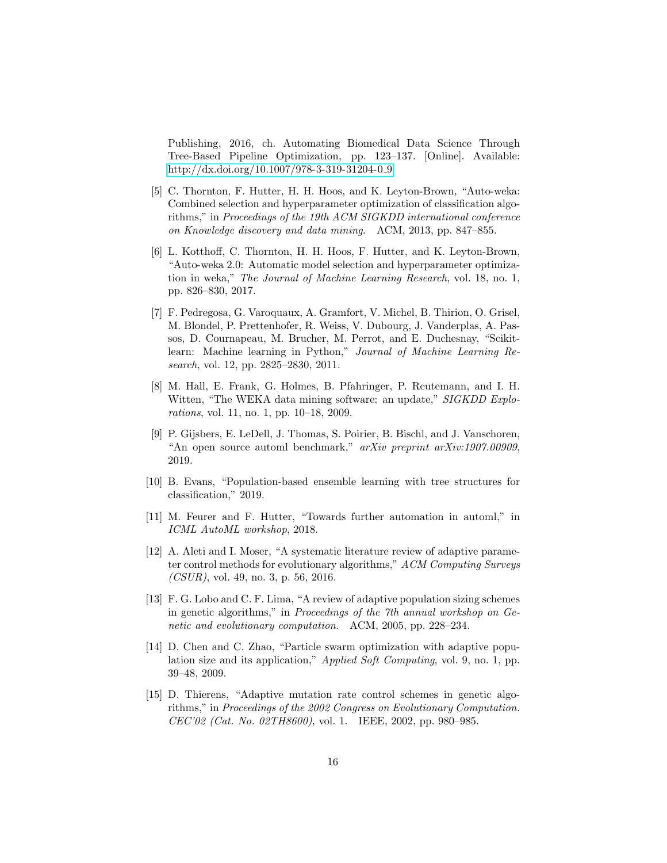Publishing, 2016, ch. Automating Biomedical Data Science Through Tree-Based Pipeline Optimization, pp. 123–137. [Online]. Available: [http://dx.doi.org/10.1007/978-3-319-31204-0](http://dx.doi.org/10.1007/978-3-319-31204-0_9) 9

- <span id="page-15-0"></span>[5] C. Thornton, F. Hutter, H. H. Hoos, and K. Leyton-Brown, "Auto-weka: Combined selection and hyperparameter optimization of classification algorithms," in Proceedings of the 19th ACM SIGKDD international conference on Knowledge discovery and data mining. ACM, 2013, pp. 847–855.
- <span id="page-15-1"></span>[6] L. Kotthoff, C. Thornton, H. H. Hoos, F. Hutter, and K. Leyton-Brown, "Auto-weka 2.0: Automatic model selection and hyperparameter optimization in weka," The Journal of Machine Learning Research, vol. 18, no. 1, pp. 826–830, 2017.
- <span id="page-15-2"></span>[7] F. Pedregosa, G. Varoquaux, A. Gramfort, V. Michel, B. Thirion, O. Grisel, M. Blondel, P. Prettenhofer, R. Weiss, V. Dubourg, J. Vanderplas, A. Passos, D. Cournapeau, M. Brucher, M. Perrot, and E. Duchesnay, "Scikitlearn: Machine learning in Python," Journal of Machine Learning Research, vol. 12, pp. 2825–2830, 2011.
- <span id="page-15-3"></span>[8] M. Hall, E. Frank, G. Holmes, B. Pfahringer, P. Reutemann, and I. H. Witten, "The WEKA data mining software: an update," *SIGKDD Explo*rations, vol. 11, no. 1, pp. 10–18, 2009.
- <span id="page-15-4"></span>[9] P. Gijsbers, E. LeDell, J. Thomas, S. Poirier, B. Bischl, and J. Vanschoren, "An open source automl benchmark," arXiv preprint arXiv:1907.00909, 2019.
- <span id="page-15-5"></span>[10] B. Evans, "Population-based ensemble learning with tree structures for classification," 2019.
- <span id="page-15-6"></span>[11] M. Feurer and F. Hutter, "Towards further automation in automl," in ICML AutoML workshop, 2018.
- <span id="page-15-7"></span>[12] A. Aleti and I. Moser, "A systematic literature review of adaptive parameter control methods for evolutionary algorithms," ACM Computing Surveys  $(CSUR)$ , vol. 49, no. 3, p. 56, 2016.
- <span id="page-15-8"></span>[13] F. G. Lobo and C. F. Lima, "A review of adaptive population sizing schemes in genetic algorithms," in Proceedings of the 7th annual workshop on Genetic and evolutionary computation. ACM, 2005, pp. 228–234.
- <span id="page-15-9"></span>[14] D. Chen and C. Zhao, "Particle swarm optimization with adaptive population size and its application," Applied Soft Computing, vol. 9, no. 1, pp. 39–48, 2009.
- <span id="page-15-10"></span>[15] D. Thierens, "Adaptive mutation rate control schemes in genetic algorithms," in Proceedings of the 2002 Congress on Evolutionary Computation. CEC'02 (Cat. No. 02TH8600), vol. 1. IEEE, 2002, pp. 980–985.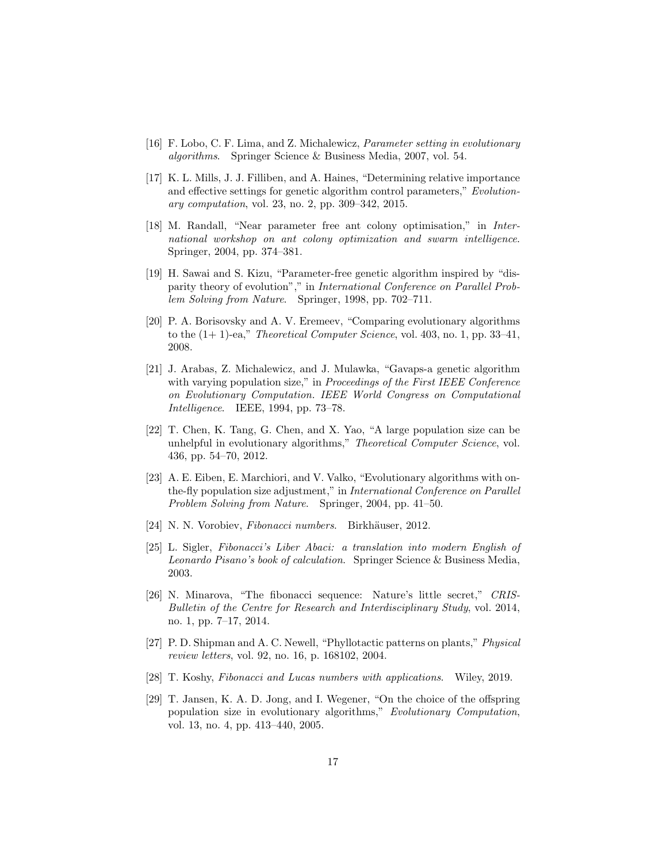- <span id="page-16-0"></span>[16] F. Lobo, C. F. Lima, and Z. Michalewicz, Parameter setting in evolutionary algorithms. Springer Science & Business Media, 2007, vol. 54.
- <span id="page-16-1"></span>[17] K. L. Mills, J. J. Filliben, and A. Haines, "Determining relative importance and effective settings for genetic algorithm control parameters," Evolutionary computation, vol. 23, no. 2, pp. 309–342, 2015.
- <span id="page-16-2"></span>[18] M. Randall, "Near parameter free ant colony optimisation," in International workshop on ant colony optimization and swarm intelligence. Springer, 2004, pp. 374–381.
- <span id="page-16-3"></span>[19] H. Sawai and S. Kizu, "Parameter-free genetic algorithm inspired by "disparity theory of evolution"," in International Conference on Parallel Problem Solving from Nature. Springer, 1998, pp. 702–711.
- <span id="page-16-4"></span>[20] P. A. Borisovsky and A. V. Eremeev, "Comparing evolutionary algorithms to the  $(1+1)$ -ea," *Theoretical Computer Science*, vol. 403, no. 1, pp. 33–41, 2008.
- <span id="page-16-5"></span>[21] J. Arabas, Z. Michalewicz, and J. Mulawka, "Gavaps-a genetic algorithm with varying population size," in *Proceedings of the First IEEE Conference* on Evolutionary Computation. IEEE World Congress on Computational Intelligence. IEEE, 1994, pp. 73–78.
- <span id="page-16-6"></span>[22] T. Chen, K. Tang, G. Chen, and X. Yao, "A large population size can be unhelpful in evolutionary algorithms," Theoretical Computer Science, vol. 436, pp. 54–70, 2012.
- <span id="page-16-7"></span>[23] A. E. Eiben, E. Marchiori, and V. Valko, "Evolutionary algorithms with onthe-fly population size adjustment," in International Conference on Parallel Problem Solving from Nature. Springer, 2004, pp. 41–50.
- <span id="page-16-8"></span>[24] N. N. Vorobiev, Fibonacci numbers. Birkhäuser, 2012.
- <span id="page-16-9"></span>[25] L. Sigler, Fibonacci's Liber Abaci: a translation into modern English of Leonardo Pisano's book of calculation. Springer Science & Business Media, 2003.
- <span id="page-16-10"></span>[26] N. Minarova, "The fibonacci sequence: Nature's little secret," CRIS-Bulletin of the Centre for Research and Interdisciplinary Study, vol. 2014, no. 1, pp. 7–17, 2014.
- <span id="page-16-11"></span>[27] P. D. Shipman and A. C. Newell, "Phyllotactic patterns on plants," Physical review letters, vol. 92, no. 16, p. 168102, 2004.
- <span id="page-16-12"></span>[28] T. Koshy, Fibonacci and Lucas numbers with applications. Wiley, 2019.
- <span id="page-16-13"></span>[29] T. Jansen, K. A. D. Jong, and I. Wegener, "On the choice of the offspring population size in evolutionary algorithms," Evolutionary Computation, vol. 13, no. 4, pp. 413–440, 2005.